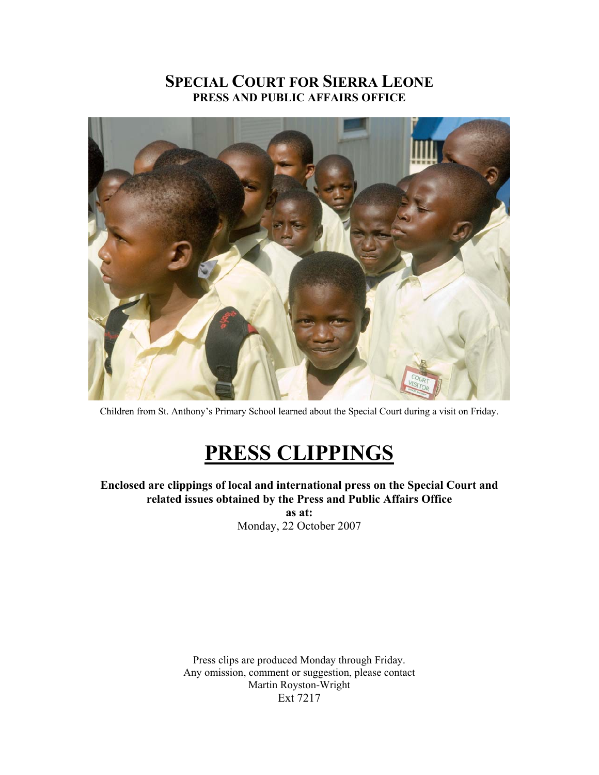### **SPECIAL COURT FOR SIERRA LEONE PRESS AND PUBLIC AFFAIRS OFFICE**



Children from St. Anthony's Primary School learned about the Special Court during a visit on Friday.

# **PRESS CLIPPINGS**

**Enclosed are clippings of local and international press on the Special Court and related issues obtained by the Press and Public Affairs Office as at:** 

Monday, 22 October 2007

Press clips are produced Monday through Friday. Any omission, comment or suggestion, please contact Martin Royston-Wright Ext 7217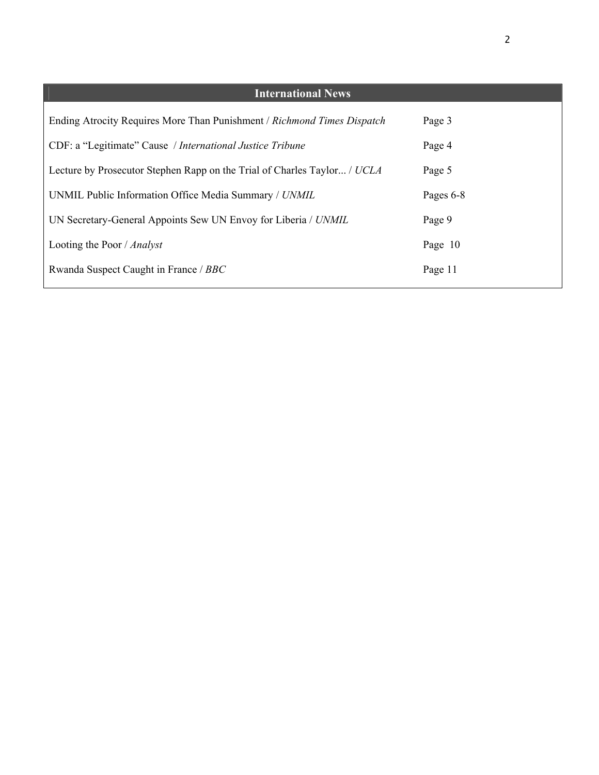| <b>International News</b>                                                |           |
|--------------------------------------------------------------------------|-----------|
| Ending Atrocity Requires More Than Punishment / Richmond Times Dispatch  | Page 3    |
| CDF: a "Legitimate" Cause / International Justice Tribune                | Page 4    |
| Lecture by Prosecutor Stephen Rapp on the Trial of Charles Taylor / UCLA | Page 5    |
| UNMIL Public Information Office Media Summary / UNMIL                    | Pages 6-8 |
| UN Secretary-General Appoints Sew UN Envoy for Liberia / UNMIL           | Page 9    |
| Looting the Poor / Analyst                                               | Page 10   |
| Rwanda Suspect Caught in France / BBC                                    | Page 11   |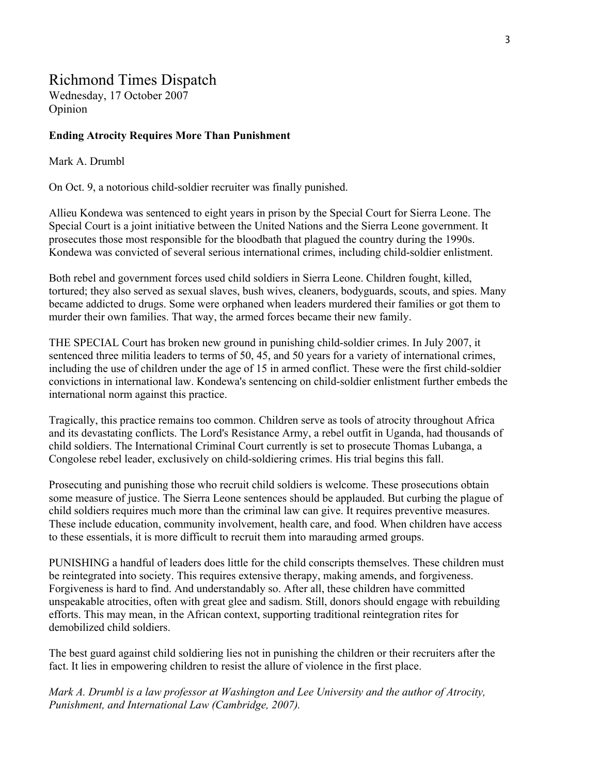### Richmond Times Dispatch

Wednesday, 17 October 2007 Opinion

#### **Ending Atrocity Requires More Than Punishment**

#### Mark A. Drumbl

On Oct. 9, a notorious child-soldier recruiter was finally punished.

Allieu Kondewa was sentenced to eight years in prison by the Special Court for Sierra Leone. The Special Court is a joint initiative between the United Nations and the Sierra Leone government. It prosecutes those most responsible for the bloodbath that plagued the country during the 1990s. Kondewa was convicted of several serious international crimes, including child-soldier enlistment.

Both rebel and government forces used child soldiers in Sierra Leone. Children fought, killed, tortured; they also served as sexual slaves, bush wives, cleaners, bodyguards, scouts, and spies. Many became addicted to drugs. Some were orphaned when leaders murdered their families or got them to murder their own families. That way, the armed forces became their new family.

THE SPECIAL Court has broken new ground in punishing child-soldier crimes. In July 2007, it sentenced three militia leaders to terms of 50, 45, and 50 years for a variety of international crimes, including the use of children under the age of 15 in armed conflict. These were the first child-soldier convictions in international law. Kondewa's sentencing on child-soldier enlistment further embeds the international norm against this practice.

Tragically, this practice remains too common. Children serve as tools of atrocity throughout Africa and its devastating conflicts. The Lord's Resistance Army, a rebel outfit in Uganda, had thousands of child soldiers. The International Criminal Court currently is set to prosecute Thomas Lubanga, a Congolese rebel leader, exclusively on child-soldiering crimes. His trial begins this fall.

Prosecuting and punishing those who recruit child soldiers is welcome. These prosecutions obtain some measure of justice. The Sierra Leone sentences should be applauded. But curbing the plague of child soldiers requires much more than the criminal law can give. It requires preventive measures. These include education, community involvement, health care, and food. When children have access to these essentials, it is more difficult to recruit them into marauding armed groups.

PUNISHING a handful of leaders does little for the child conscripts themselves. These children must be reintegrated into society. This requires extensive therapy, making amends, and forgiveness. Forgiveness is hard to find. And understandably so. After all, these children have committed unspeakable atrocities, often with great glee and sadism. Still, donors should engage with rebuilding efforts. This may mean, in the African context, supporting traditional reintegration rites for demobilized child soldiers.

The best guard against child soldiering lies not in punishing the children or their recruiters after the fact. It lies in empowering children to resist the allure of violence in the first place.

*Mark A. Drumbl is a law professor at Washington and Lee University and the author of Atrocity, Punishment, and International Law (Cambridge, 2007).*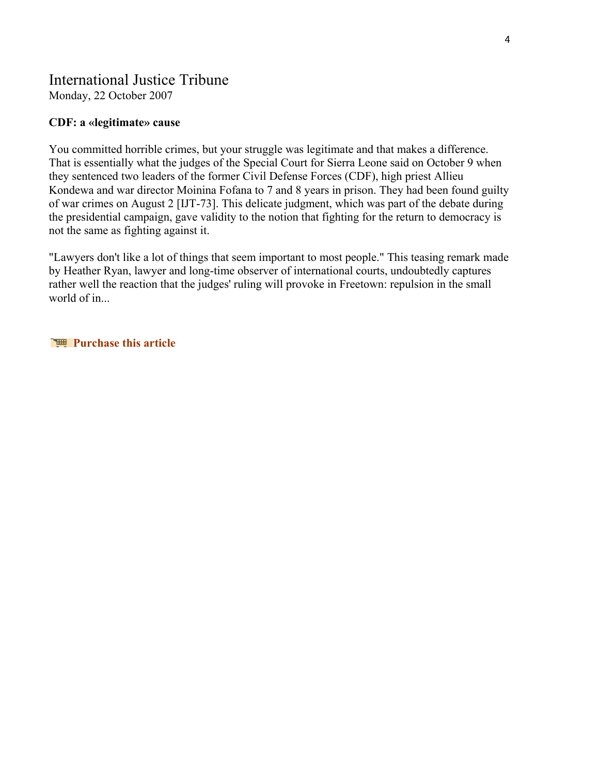### International Justice Tribune

Monday, 22 October 2007

### **CDF: a «legitimate» cause**

You committed horrible crimes, but your struggle was legitimate and that makes a difference. That is essentially what the judges of the Special Court for Sierra Leone said on October 9 when they sentenced two leaders of the former Civil Defense Forces (CDF), high priest Allieu Kondewa and war director Moinina Fofana to 7 and 8 years in prison. They had been found guilty of war crimes on August 2 [IJT-73]. This delicate judgment, which was part of the debate during the presidential campaign, gave validity to the notion that fighting for the return to democracy is not the same as fighting against it.

"Lawyers don't like a lot of things that seem important to most people." This teasing remark made by Heather Ryan, lawyer and long-time observer of international courts, undoubtedly captures rather well the reaction that the judges' ruling will provoke in Freetown: repulsion in the small world of in...

**Purchase this article**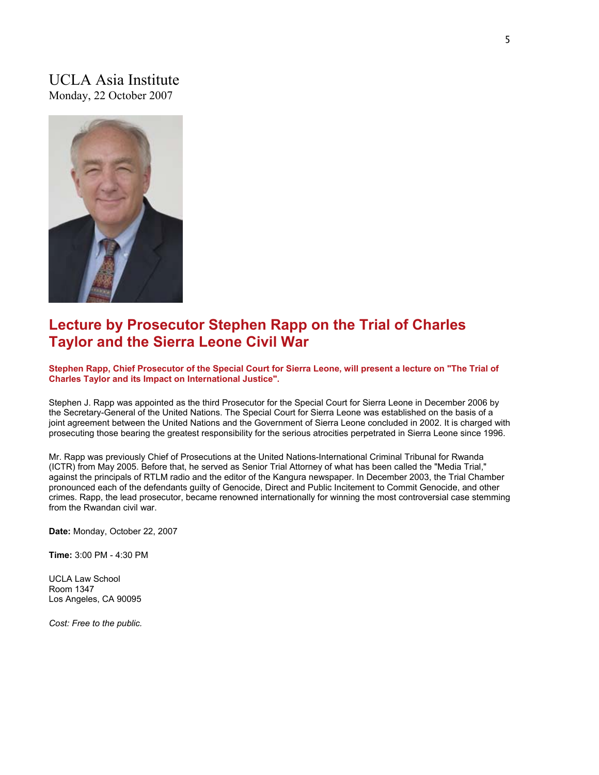### UCLA Asia Institute Monday, 22 October 2007



### **Lecture by Prosecutor Stephen Rapp on the Trial of Charles Taylor and the Sierra Leone Civil War**

**Stephen Rapp, Chief Prosecutor of the Special Court for Sierra Leone, will present a lecture on "The Trial of Charles Taylor and its Impact on International Justice".** 

Stephen J. Rapp was appointed as the third Prosecutor for the Special Court for Sierra Leone in December 2006 by the Secretary-General of the United Nations. The Special Court for Sierra Leone was established on the basis of a joint agreement between the United Nations and the Government of Sierra Leone concluded in 2002. It is charged with prosecuting those bearing the greatest responsibility for the serious atrocities perpetrated in Sierra Leone since 1996.

Mr. Rapp was previously Chief of Prosecutions at the United Nations-International Criminal Tribunal for Rwanda (ICTR) from May 2005. Before that, he served as Senior Trial Attorney of what has been called the "Media Trial," against the principals of RTLM radio and the editor of the Kangura newspaper. In December 2003, the Trial Chamber pronounced each of the defendants guilty of Genocide, Direct and Public Incitement to Commit Genocide, and other crimes. Rapp, the lead prosecutor, became renowned internationally for winning the most controversial case stemming from the Rwandan civil war.

**Date:** Monday, October 22, 2007

**Time:** 3:00 PM - 4:30 PM

UCLA Law School Room 1347 Los Angeles, CA 90095

*Cost: Free to the public.*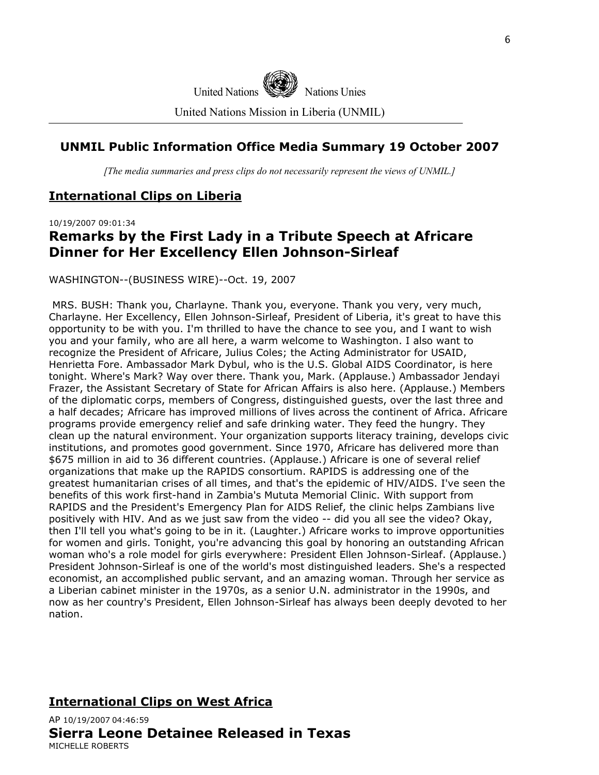

### **UNMIL Public Information Office Media Summary 19 October 2007**

*[The media summaries and press clips do not necessarily represent the views of UNMIL.]*

### **International Clips on Liberia**

10/19/2007 09:01:34

### **Remarks by the First Lady in a Tribute Speech at Africare Dinner for Her Excellency Ellen Johnson-Sirleaf**

WASHINGTON--(BUSINESS WIRE)--Oct. 19, 2007

 MRS. BUSH: Thank you, Charlayne. Thank you, everyone. Thank you very, very much, Charlayne. Her Excellency, Ellen Johnson-Sirleaf, President of Liberia, it's great to have this opportunity to be with you. I'm thrilled to have the chance to see you, and I want to wish you and your family, who are all here, a warm welcome to Washington. I also want to recognize the President of Africare, Julius Coles; the Acting Administrator for USAID, Henrietta Fore. Ambassador Mark Dybul, who is the U.S. Global AIDS Coordinator, is here tonight. Where's Mark? Way over there. Thank you, Mark. (Applause.) Ambassador Jendayi Frazer, the Assistant Secretary of State for African Affairs is also here. (Applause.) Members of the diplomatic corps, members of Congress, distinguished guests, over the last three and a half decades; Africare has improved millions of lives across the continent of Africa. Africare programs provide emergency relief and safe drinking water. They feed the hungry. They clean up the natural environment. Your organization supports literacy training, develops civic institutions, and promotes good government. Since 1970, Africare has delivered more than \$675 million in aid to 36 different countries. (Applause.) Africare is one of several relief organizations that make up the RAPIDS consortium. RAPIDS is addressing one of the greatest humanitarian crises of all times, and that's the epidemic of HIV/AIDS. I've seen the benefits of this work first-hand in Zambia's Mututa Memorial Clinic. With support from RAPIDS and the President's Emergency Plan for AIDS Relief, the clinic helps Zambians live positively with HIV. And as we just saw from the video -- did you all see the video? Okay, then I'll tell you what's going to be in it. (Laughter.) Africare works to improve opportunities for women and girls. Tonight, you're advancing this goal by honoring an outstanding African woman who's a role model for girls everywhere: President Ellen Johnson-Sirleaf. (Applause.) President Johnson-Sirleaf is one of the world's most distinguished leaders. She's a respected economist, an accomplished public servant, and an amazing woman. Through her service as a Liberian cabinet minister in the 1970s, as a senior U.N. administrator in the 1990s, and now as her country's President, Ellen Johnson-Sirleaf has always been deeply devoted to her nation.

### **International Clips on West Africa**

AP 10/19/2007 04:46:59 **Sierra Leone Detainee Released in Texas**  MICHELLE ROBERTS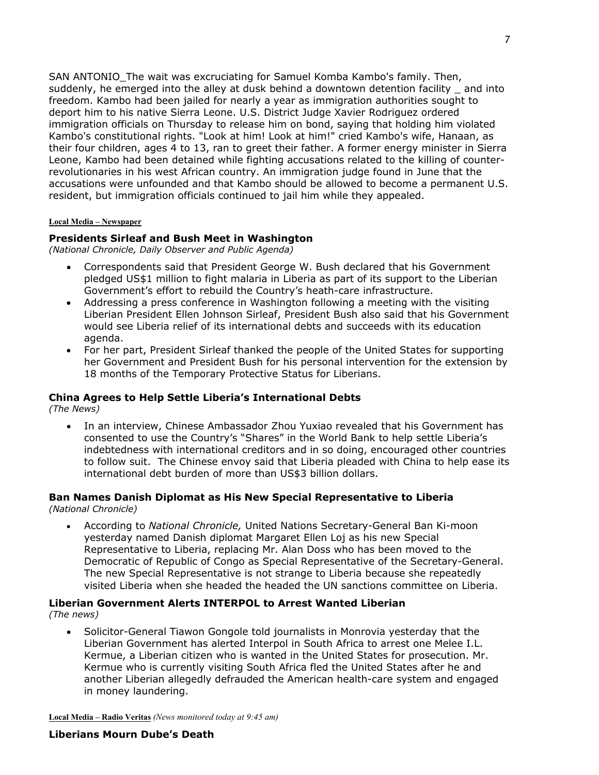SAN ANTONIO The wait was excruciating for Samuel Komba Kambo's family. Then, suddenly, he emerged into the alley at dusk behind a downtown detention facility \_ and into freedom. Kambo had been jailed for nearly a year as immigration authorities sought to deport him to his native Sierra Leone. U.S. District Judge Xavier Rodriguez ordered immigration officials on Thursday to release him on bond, saying that holding him violated Kambo's constitutional rights. "Look at him! Look at him!" cried Kambo's wife, Hanaan, as their four children, ages 4 to 13, ran to greet their father. A former energy minister in Sierra Leone, Kambo had been detained while fighting accusations related to the killing of counterrevolutionaries in his west African country. An immigration judge found in June that the accusations were unfounded and that Kambo should be allowed to become a permanent U.S. resident, but immigration officials continued to jail him while they appealed.

#### **Local Media – Newspaper**

#### **Presidents Sirleaf and Bush Meet in Washington**

*(National Chronicle, Daily Observer and Public Agenda)* 

- Correspondents said that President George W. Bush declared that his Government pledged US\$1 million to fight malaria in Liberia as part of its support to the Liberian Government's effort to rebuild the Country's heath-care infrastructure.
- Addressing a press conference in Washington following a meeting with the visiting Liberian President Ellen Johnson Sirleaf, President Bush also said that his Government would see Liberia relief of its international debts and succeeds with its education agenda.
- For her part, President Sirleaf thanked the people of the United States for supporting her Government and President Bush for his personal intervention for the extension by 18 months of the Temporary Protective Status for Liberians.

#### **China Agrees to Help Settle Liberia's International Debts**

*(The News)* 

• In an interview, Chinese Ambassador Zhou Yuxiao revealed that his Government has consented to use the Country's "Shares" in the World Bank to help settle Liberia's indebtedness with international creditors and in so doing, encouraged other countries to follow suit. The Chinese envoy said that Liberia pleaded with China to help ease its international debt burden of more than US\$3 billion dollars.

## **Ban Names Danish Diplomat as His New Special Representative to Liberia**

- *(National Chronicle)* 
	- According to *National Chronicle,* United Nations Secretary-General Ban Ki-moon yesterday named Danish diplomat Margaret Ellen Loj as his new Special Representative to Liberia, replacing Mr. Alan Doss who has been moved to the Democratic of Republic of Congo as Special Representative of the Secretary-General. The new Special Representative is not strange to Liberia because she repeatedly visited Liberia when she headed the headed the UN sanctions committee on Liberia.

### **Liberian Government Alerts INTERPOL to Arrest Wanted Liberian**

*(The news)* 

• Solicitor-General Tiawon Gongole told journalists in Monrovia yesterday that the Liberian Government has alerted Interpol in South Africa to arrest one Melee I.L. Kermue, a Liberian citizen who is wanted in the United States for prosecution. Mr. Kermue who is currently visiting South Africa fled the United States after he and another Liberian allegedly defrauded the American health-care system and engaged in money laundering.

**Local Media – Radio Veritas** *(News monitored today at 9:45 am)*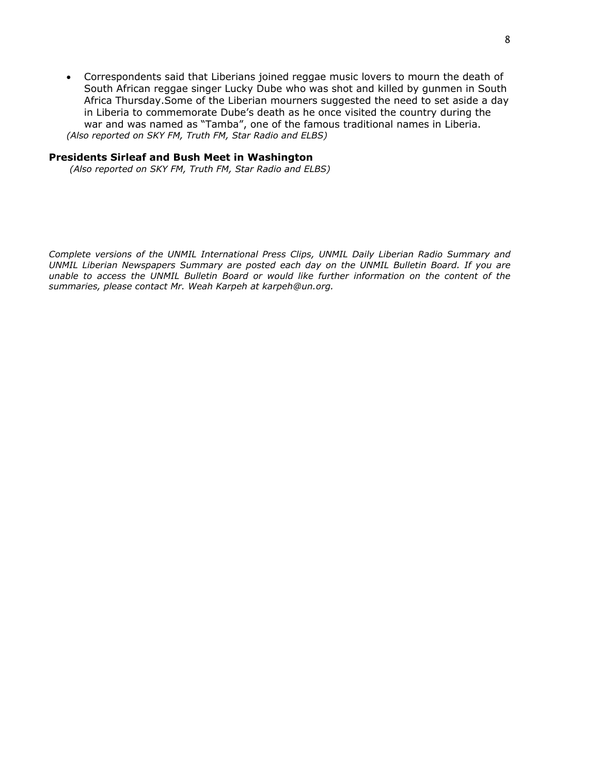• Correspondents said that Liberians joined reggae music lovers to mourn the death of South African reggae singer Lucky Dube who was shot and killed by gunmen in South Africa Thursday.Some of the Liberian mourners suggested the need to set aside a day in Liberia to commemorate Dube's death as he once visited the country during the war and was named as "Tamba", one of the famous traditional names in Liberia. *(Also reported on SKY FM, Truth FM, Star Radio and ELBS)* 

#### **Presidents Sirleaf and Bush Meet in Washington**

 *(Also reported on SKY FM, Truth FM, Star Radio and ELBS)* 

*Complete versions of the UNMIL International Press Clips, UNMIL Daily Liberian Radio Summary and UNMIL Liberian Newspapers Summary are posted each day on the UNMIL Bulletin Board. If you are unable to access the UNMIL Bulletin Board or would like further information on the content of the summaries, please contact Mr. Weah Karpeh at karpeh@un.org.*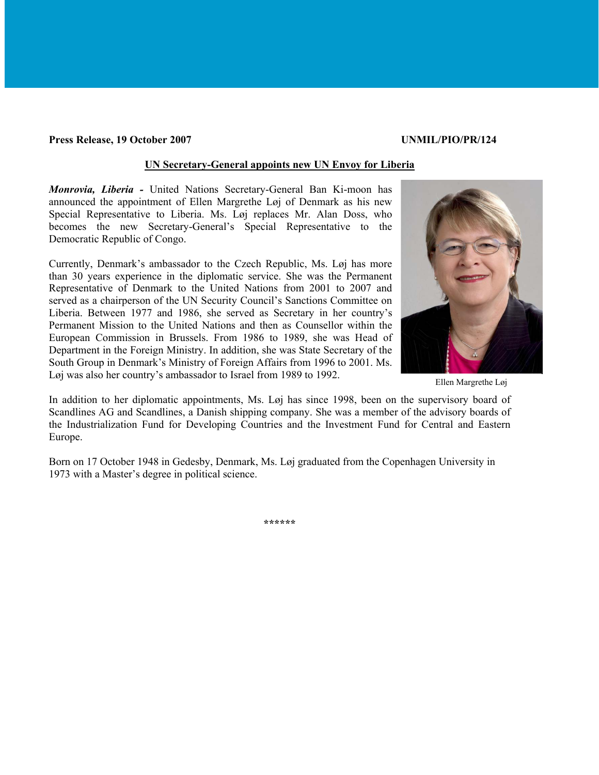#### **Press Release, 19 October 2007 UNMIL/PIO/PR/124**

#### **UN Secretary-General appoints new UN Envoy for Liberia**

*Monrovia, Liberia -* United Nations Secretary-General Ban Ki-moon has announced the appointment of Ellen Margrethe Løj of Denmark as his new Special Representative to Liberia. Ms. Løj replaces Mr. Alan Doss, who becomes the new Secretary-General's Special Representative to the Democratic Republic of Congo.

Currently, Denmark's ambassador to the Czech Republic, Ms. Løj has more than 30 years experience in the diplomatic service. She was the Permanent Representative of Denmark to the United Nations from 2001 to 2007 and served as a chairperson of the UN Security Council's Sanctions Committee on Liberia. Between 1977 and 1986, she served as Secretary in her country's Permanent Mission to the United Nations and then as Counsellor within the European Commission in Brussels. From 1986 to 1989, she was Head of Department in the Foreign Ministry. In addition, she was State Secretary of the South Group in Denmark's Ministry of Foreign Affairs from 1996 to 2001. Ms. Løj was also her country's ambassador to Israel from 1989 to 1992.



Ellen Margrethe Løj

In addition to her diplomatic appointments, Ms. Løj has since 1998, been on the supervisory board of Scandlines AG and Scandlines, a Danish shipping company. She was a member of the advisory boards of the Industrialization Fund for Developing Countries and the Investment Fund for Central and Eastern Europe.

Born on 17 October 1948 in Gedesby, Denmark, Ms. Løj graduated from the Copenhagen University in 1973 with a Master's degree in political science.

**\*\*\*\*\*\***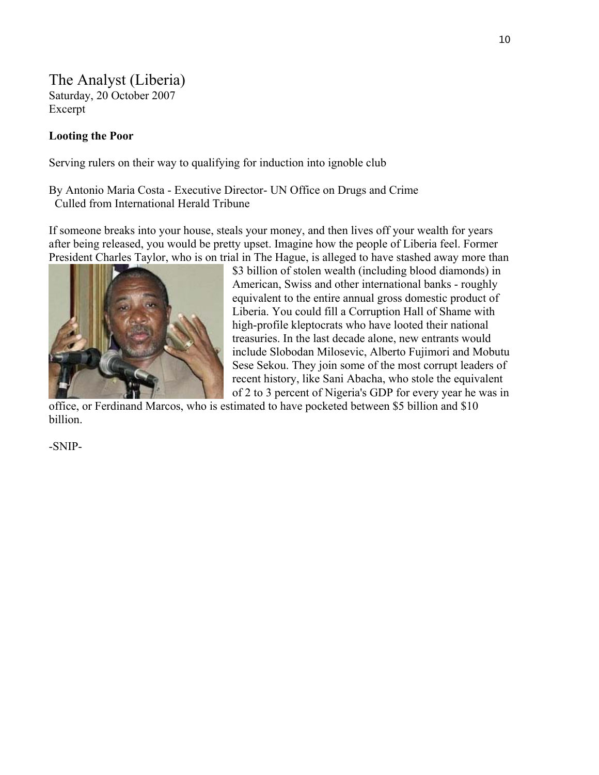The Analyst (Liberia) Saturday, 20 October 2007 Excerpt

### **Looting the Poor**

Serving rulers on their way to qualifying for induction into ignoble club

By Antonio Maria Costa - Executive Director- UN Office on Drugs and Crime Culled from International Herald Tribune

If someone breaks into your house, steals your money, and then lives off your wealth for years after being released, you would be pretty upset. Imagine how the people of Liberia feel. Former President Charles Taylor, who is on trial in The Hague, is alleged to have stashed away more than



\$3 billion of stolen wealth (including blood diamonds) in American, Swiss and other international banks - roughly equivalent to the entire annual gross domestic product of Liberia. You could fill a Corruption Hall of Shame with high-profile kleptocrats who have looted their national treasuries. In the last decade alone, new entrants would include Slobodan Milosevic, Alberto Fujimori and Mobutu Sese Sekou. They join some of the most corrupt leaders o f recent history, like Sani Abacha, who stole the equival ent of 2 to 3 percent of Nigeria's GDP for every year he was in

office, or Ferdinand Marcos, who is estimated to have pocketed between \$5 billion and \$10 billion.

-SNIP-